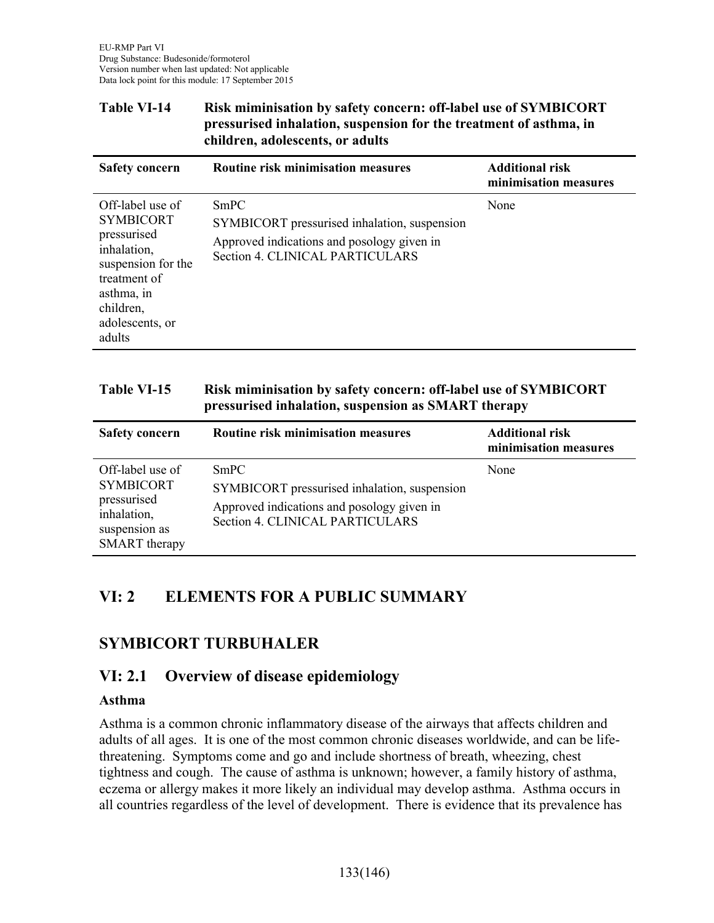#### **Table VI-14 Risk miminisation by safety concern: off-label use of SYMBICORT pressurised inhalation, suspension for the treatment of asthma, in children, adolescents, or adults**

| <b>Safety concern</b>                                                                                                                                            | Routine risk minimisation measures                                                                                                    | <b>Additional risk</b><br>minimisation measures |
|------------------------------------------------------------------------------------------------------------------------------------------------------------------|---------------------------------------------------------------------------------------------------------------------------------------|-------------------------------------------------|
| Off-label use of<br><b>SYMBICORT</b><br>pressurised<br>inhalation,<br>suspension for the<br>treatment of<br>asthma, in<br>children,<br>adolescents, or<br>adults | SmPC<br>SYMBICORT pressurised inhalation, suspension<br>Approved indications and posology given in<br>Section 4. CLINICAL PARTICULARS | None                                            |

#### **Table VI-15 Risk miminisation by safety concern: off-label use of SYMBICORT pressurised inhalation, suspension as SMART therapy**

| <b>Safety concern</b>                                                                                       | Routine risk minimisation measures                                                                                                    | <b>Additional risk</b><br>minimisation measures |
|-------------------------------------------------------------------------------------------------------------|---------------------------------------------------------------------------------------------------------------------------------------|-------------------------------------------------|
| Off-label use of<br><b>SYMBICORT</b><br>pressurised<br>inhalation,<br>suspension as<br><b>SMART</b> therapy | SmPC<br>SYMBICORT pressurised inhalation, suspension<br>Approved indications and posology given in<br>Section 4. CLINICAL PARTICULARS | None                                            |

### **VI: 2 ELEMENTS FOR A PUBLIC SUMMARY**

### **SYMBICORT TURBUHALER**

#### **VI: 2.1 Overview of disease epidemiology**

#### **Asthma**

Î.

Asthma is a common chronic inflammatory disease of the airways that affects children and adults of all ages. It is one of the most common chronic diseases worldwide, and can be lifethreatening. Symptoms come and go and include shortness of breath, wheezing, chest tightness and cough. The cause of asthma is unknown; however, a family history of asthma, eczema or allergy makes it more likely an individual may develop asthma. Asthma occurs in all countries regardless of the level of development. There is evidence that its prevalence has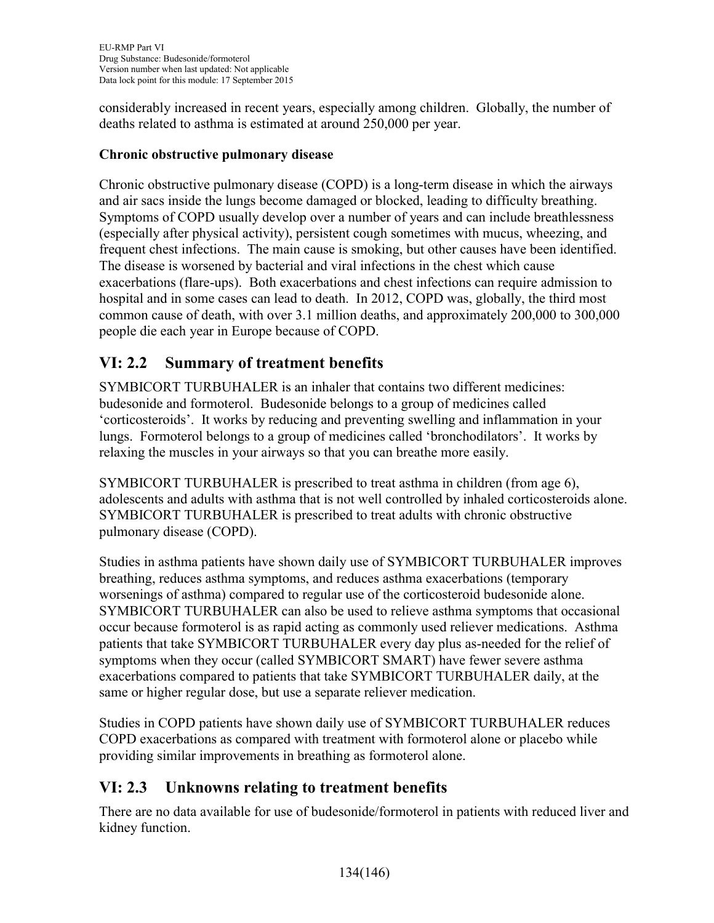considerably increased in recent years, especially among children. Globally, the number of deaths related to asthma is estimated at around 250,000 per year.

#### **Chronic obstructive pulmonary disease**

Chronic obstructive pulmonary disease (COPD) is a long-term disease in which the airways and air sacs inside the lungs become damaged or blocked, leading to difficulty breathing. Symptoms of COPD usually develop over a number of years and can include breathlessness (especially after physical activity), persistent cough sometimes with mucus, wheezing, and frequent chest infections. The main cause is smoking, but other causes have been identified. The disease is worsened by bacterial and viral infections in the chest which cause exacerbations (flare-ups). Both exacerbations and chest infections can require admission to hospital and in some cases can lead to death. In 2012, COPD was, globally, the third most common cause of death, with over 3.1 million deaths, and approximately 200,000 to 300,000 people die each year in Europe because of COPD.

# **VI: 2.2 Summary of treatment benefits**

SYMBICORT TURBUHALER is an inhaler that contains two different medicines: budesonide and formoterol. Budesonide belongs to a group of medicines called 'corticosteroids'. It works by reducing and preventing swelling and inflammation in your lungs. Formoterol belongs to a group of medicines called 'bronchodilators'. It works by relaxing the muscles in your airways so that you can breathe more easily.

SYMBICORT TURBUHALER is prescribed to treat asthma in children (from age 6), adolescents and adults with asthma that is not well controlled by inhaled corticosteroids alone. SYMBICORT TURBUHALER is prescribed to treat adults with chronic obstructive pulmonary disease (COPD).

Studies in asthma patients have shown daily use of SYMBICORT TURBUHALER improves breathing, reduces asthma symptoms, and reduces asthma exacerbations (temporary worsenings of asthma) compared to regular use of the corticosteroid budesonide alone. SYMBICORT TURBUHALER can also be used to relieve asthma symptoms that occasional occur because formoterol is as rapid acting as commonly used reliever medications. Asthma patients that take SYMBICORT TURBUHALER every day plus as-needed for the relief of symptoms when they occur (called SYMBICORT SMART) have fewer severe asthma exacerbations compared to patients that take SYMBICORT TURBUHALER daily, at the same or higher regular dose, but use a separate reliever medication.

Studies in COPD patients have shown daily use of SYMBICORT TURBUHALER reduces COPD exacerbations as compared with treatment with formoterol alone or placebo while providing similar improvements in breathing as formoterol alone.

# **VI: 2.3 Unknowns relating to treatment benefits**

There are no data available for use of budesonide/formoterol in patients with reduced liver and kidney function.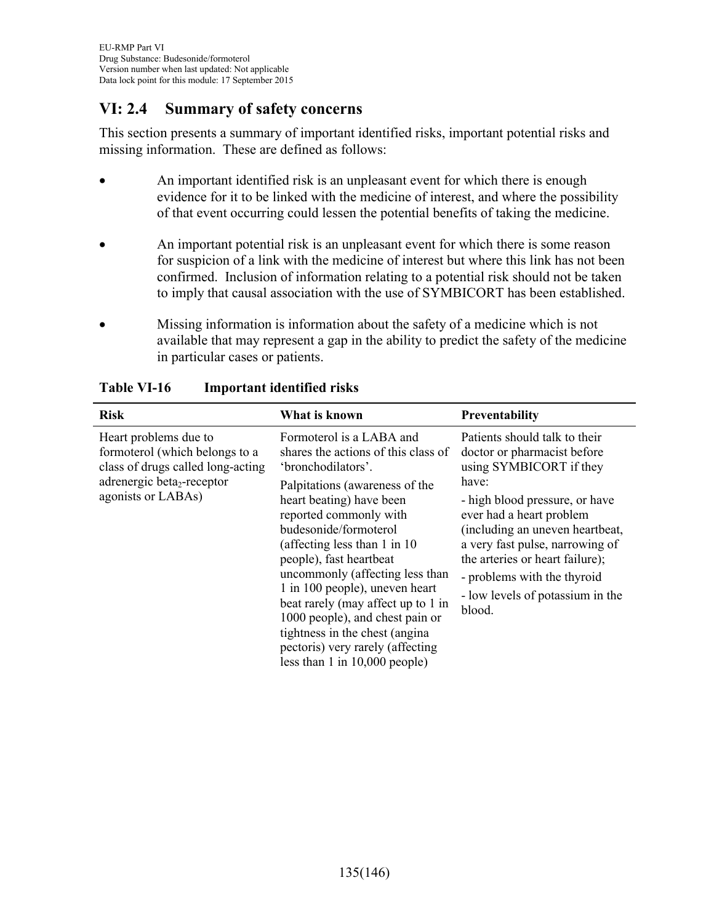## **VI: 2.4 Summary of safety concerns**

This section presents a summary of important identified risks, important potential risks and missing information. These are defined as follows:

- An important identified risk is an unpleasant event for which there is enough evidence for it to be linked with the medicine of interest, and where the possibility of that event occurring could lessen the potential benefits of taking the medicine.
- An important potential risk is an unpleasant event for which there is some reason for suspicion of a link with the medicine of interest but where this link has not been confirmed. Inclusion of information relating to a potential risk should not be taken to imply that causal association with the use of SYMBICORT has been established.
- Missing information is information about the safety of a medicine which is not available that may represent a gap in the ability to predict the safety of the medicine in particular cases or patients.

| <b>Risk</b>                                                                                                                                                  | What is known                                                                                                                                                                                                                                                                                                                                                                                                                                                                                                                | <b>Preventability</b>                                                                                                                                                                                                                                                                                                                                |
|--------------------------------------------------------------------------------------------------------------------------------------------------------------|------------------------------------------------------------------------------------------------------------------------------------------------------------------------------------------------------------------------------------------------------------------------------------------------------------------------------------------------------------------------------------------------------------------------------------------------------------------------------------------------------------------------------|------------------------------------------------------------------------------------------------------------------------------------------------------------------------------------------------------------------------------------------------------------------------------------------------------------------------------------------------------|
| Heart problems due to<br>formoterol (which belongs to a<br>class of drugs called long-acting<br>adrenergic beta <sub>2</sub> -receptor<br>agonists or LABAs) | Formoterol is a LABA and<br>shares the actions of this class of<br>'bronchodilators'.<br>Palpitations (awareness of the<br>heart beating) have been<br>reported commonly with<br>budesonide/formoterol<br>(affecting less than 1 in 10)<br>people), fast heartbeat<br>uncommonly (affecting less than<br>1 in 100 people), uneven heart<br>beat rarely (may affect up to 1 in<br>1000 people), and chest pain or<br>tightness in the chest (angina)<br>pectoris) very rarely (affecting<br>less than $1$ in $10,000$ people) | Patients should talk to their<br>doctor or pharmacist before<br>using SYMBICORT if they<br>have:<br>- high blood pressure, or have<br>ever had a heart problem<br>(including an uneven heartbeat,<br>a very fast pulse, narrowing of<br>the arteries or heart failure);<br>- problems with the thyroid<br>- low levels of potassium in the<br>blood. |

### **Table VI-16 Important identified risks**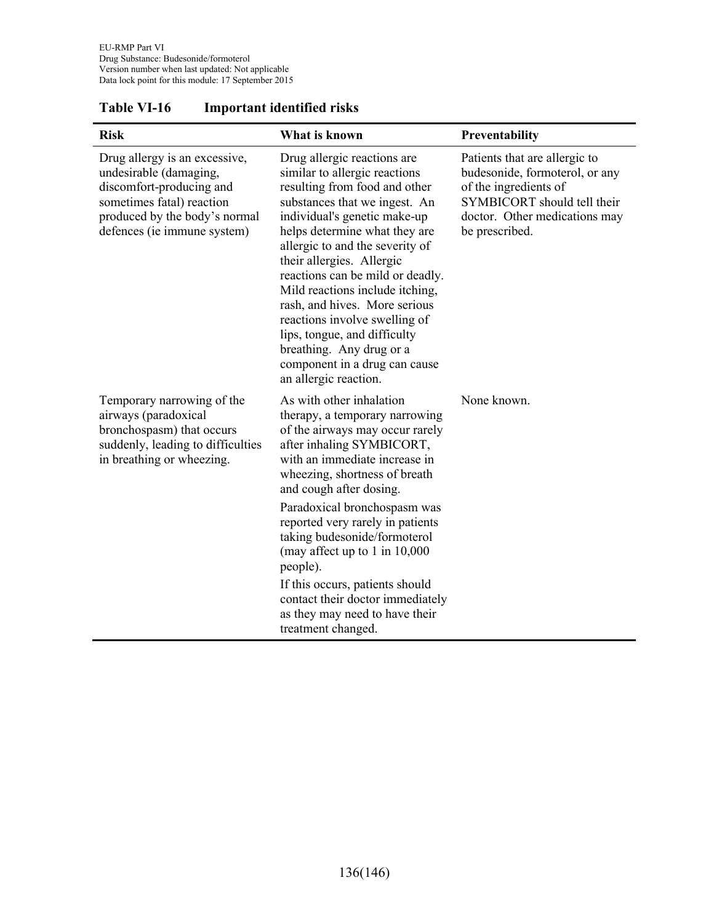| <b>Risk</b>                                                                                                                                                                      | What is known                                                                                                                                                                                                                                                                                                                                                                                                                                                                                                                  | Preventability                                                                                                                                                             |
|----------------------------------------------------------------------------------------------------------------------------------------------------------------------------------|--------------------------------------------------------------------------------------------------------------------------------------------------------------------------------------------------------------------------------------------------------------------------------------------------------------------------------------------------------------------------------------------------------------------------------------------------------------------------------------------------------------------------------|----------------------------------------------------------------------------------------------------------------------------------------------------------------------------|
| Drug allergy is an excessive,<br>undesirable (damaging,<br>discomfort-producing and<br>sometimes fatal) reaction<br>produced by the body's normal<br>defences (ie immune system) | Drug allergic reactions are<br>similar to allergic reactions<br>resulting from food and other<br>substances that we ingest. An<br>individual's genetic make-up<br>helps determine what they are<br>allergic to and the severity of<br>their allergies. Allergic<br>reactions can be mild or deadly.<br>Mild reactions include itching,<br>rash, and hives. More serious<br>reactions involve swelling of<br>lips, tongue, and difficulty<br>breathing. Any drug or a<br>component in a drug can cause<br>an allergic reaction. | Patients that are allergic to<br>budesonide, formoterol, or any<br>of the ingredients of<br>SYMBICORT should tell their<br>doctor. Other medications may<br>be prescribed. |
| Temporary narrowing of the<br>airways (paradoxical<br>bronchospasm) that occurs<br>suddenly, leading to difficulties<br>in breathing or wheezing.                                | As with other inhalation<br>therapy, a temporary narrowing<br>of the airways may occur rarely<br>after inhaling SYMBICORT,<br>with an immediate increase in<br>wheezing, shortness of breath<br>and cough after dosing.<br>Paradoxical bronchospasm was<br>reported very rarely in patients<br>taking budesonide/formoterol<br>(may affect up to 1 in 10,000<br>people).<br>If this occurs, patients should<br>contact their doctor immediately<br>as they may need to have their<br>treatment changed.                        | None known.                                                                                                                                                                |

### **Table VI-16 Important identified risks**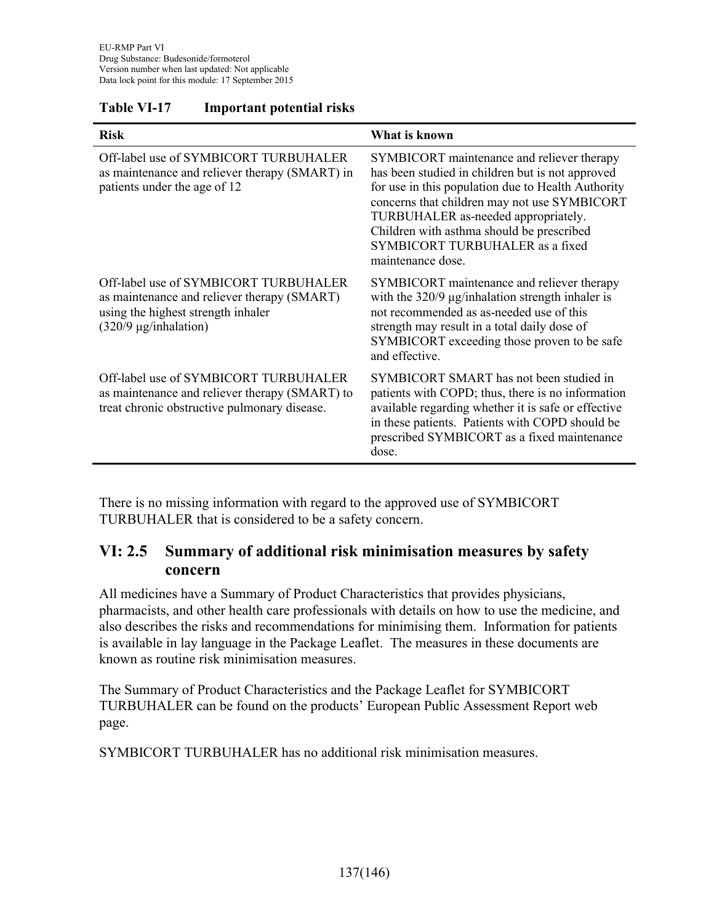| <b>Risk</b>                                                                                                                                              | What is known                                                                                                                                                                                                                                                                                                                                    |
|----------------------------------------------------------------------------------------------------------------------------------------------------------|--------------------------------------------------------------------------------------------------------------------------------------------------------------------------------------------------------------------------------------------------------------------------------------------------------------------------------------------------|
| Off-label use of SYMBICORT TURBUHALER<br>as maintenance and reliever therapy (SMART) in<br>patients under the age of 12                                  | SYMBICORT maintenance and reliever therapy<br>has been studied in children but is not approved<br>for use in this population due to Health Authority<br>concerns that children may not use SYMBICORT<br>TURBUHALER as-needed appropriately.<br>Children with asthma should be prescribed<br>SYMBICORT TURBUHALER as a fixed<br>maintenance dose. |
| Off-label use of SYMBICORT TURBUHALER<br>as maintenance and reliever therapy (SMART)<br>using the highest strength inhaler<br>$(320/9 \mu g/inhalation)$ | SYMBICORT maintenance and reliever therapy<br>with the $320/9$ $\mu$ g/inhalation strength inhaler is<br>not recommended as as-needed use of this<br>strength may result in a total daily dose of<br>SYMBICORT exceeding those proven to be safe<br>and effective.                                                                               |
| Off-label use of SYMBICORT TURBUHALER<br>as maintenance and reliever therapy (SMART) to<br>treat chronic obstructive pulmonary disease.                  | SYMBICORT SMART has not been studied in<br>patients with COPD; thus, there is no information<br>available regarding whether it is safe or effective<br>in these patients. Patients with COPD should be<br>prescribed SYMBICORT as a fixed maintenance<br>dose.                                                                                   |

#### **Table VI-17 Important potential risks**

There is no missing information with regard to the approved use of SYMBICORT TURBUHALER that is considered to be a safety concern.

### **VI: 2.5 Summary of additional risk minimisation measures by safety concern**

All medicines have a Summary of Product Characteristics that provides physicians, pharmacists, and other health care professionals with details on how to use the medicine, and also describes the risks and recommendations for minimising them. Information for patients is available in lay language in the Package Leaflet. The measures in these documents are known as routine risk minimisation measures.

The Summary of Product Characteristics and the Package Leaflet for SYMBICORT TURBUHALER can be found on the products' European Public Assessment Report web page.

SYMBICORT TURBUHALER has no additional risk minimisation measures.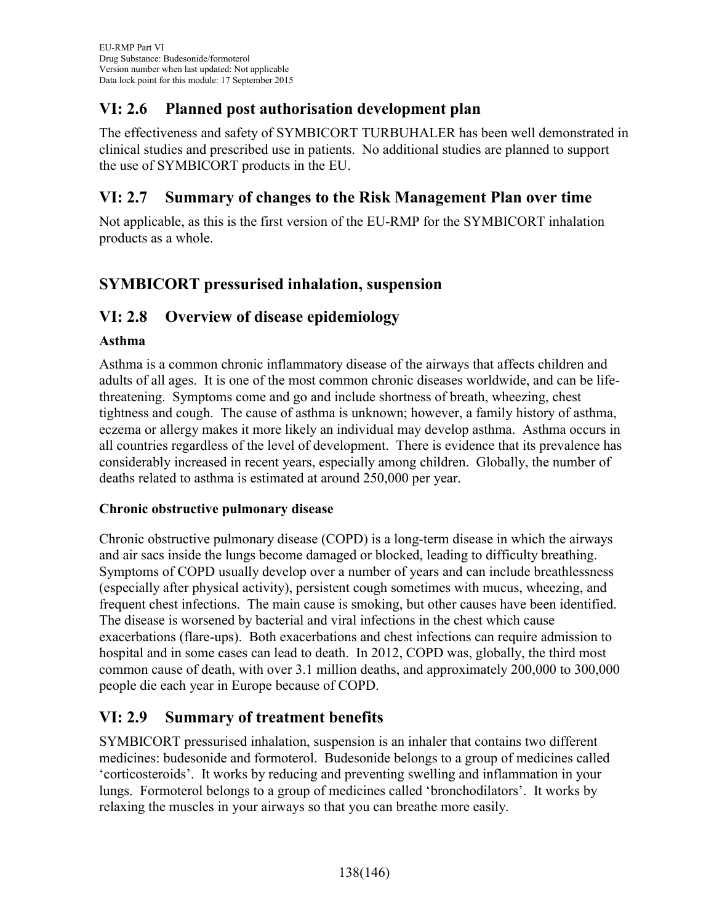## **VI: 2.6 Planned post authorisation development plan**

The effectiveness and safety of SYMBICORT TURBUHALER has been well demonstrated in clinical studies and prescribed use in patients. No additional studies are planned to support the use of SYMBICORT products in the EU.

## **VI: 2.7 Summary of changes to the Risk Management Plan over time**

Not applicable, as this is the first version of the EU-RMP for the SYMBICORT inhalation products as a whole.

# **SYMBICORT pressurised inhalation, suspension**

## **VI: 2.8 Overview of disease epidemiology**

#### **Asthma**

Asthma is a common chronic inflammatory disease of the airways that affects children and adults of all ages. It is one of the most common chronic diseases worldwide, and can be lifethreatening. Symptoms come and go and include shortness of breath, wheezing, chest tightness and cough. The cause of asthma is unknown; however, a family history of asthma, eczema or allergy makes it more likely an individual may develop asthma. Asthma occurs in all countries regardless of the level of development. There is evidence that its prevalence has considerably increased in recent years, especially among children. Globally, the number of deaths related to asthma is estimated at around 250,000 per year.

#### **Chronic obstructive pulmonary disease**

Chronic obstructive pulmonary disease (COPD) is a long-term disease in which the airways and air sacs inside the lungs become damaged or blocked, leading to difficulty breathing. Symptoms of COPD usually develop over a number of years and can include breathlessness (especially after physical activity), persistent cough sometimes with mucus, wheezing, and frequent chest infections. The main cause is smoking, but other causes have been identified. The disease is worsened by bacterial and viral infections in the chest which cause exacerbations (flare-ups). Both exacerbations and chest infections can require admission to hospital and in some cases can lead to death. In 2012, COPD was, globally, the third most common cause of death, with over 3.1 million deaths, and approximately 200,000 to 300,000 people die each year in Europe because of COPD.

### **VI: 2.9 Summary of treatment benefits**

SYMBICORT pressurised inhalation, suspension is an inhaler that contains two different medicines: budesonide and formoterol. Budesonide belongs to a group of medicines called 'corticosteroids'. It works by reducing and preventing swelling and inflammation in your lungs. Formoterol belongs to a group of medicines called 'bronchodilators'. It works by relaxing the muscles in your airways so that you can breathe more easily.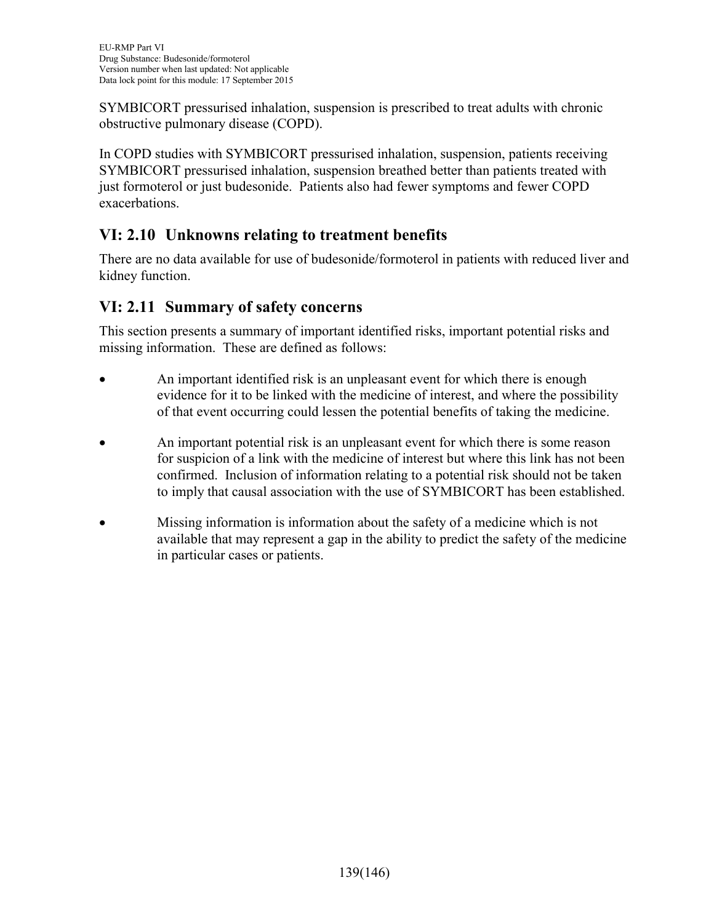SYMBICORT pressurised inhalation, suspension is prescribed to treat adults with chronic obstructive pulmonary disease (COPD).

In COPD studies with SYMBICORT pressurised inhalation, suspension, patients receiving SYMBICORT pressurised inhalation, suspension breathed better than patients treated with just formoterol or just budesonide. Patients also had fewer symptoms and fewer COPD exacerbations.

# **VI: 2.10 Unknowns relating to treatment benefits**

There are no data available for use of budesonide/formoterol in patients with reduced liver and kidney function.

# **VI: 2.11 Summary of safety concerns**

This section presents a summary of important identified risks, important potential risks and missing information. These are defined as follows:

- An important identified risk is an unpleasant event for which there is enough evidence for it to be linked with the medicine of interest, and where the possibility of that event occurring could lessen the potential benefits of taking the medicine.
- An important potential risk is an unpleasant event for which there is some reason for suspicion of a link with the medicine of interest but where this link has not been confirmed. Inclusion of information relating to a potential risk should not be taken to imply that causal association with the use of SYMBICORT has been established.
- Missing information is information about the safety of a medicine which is not available that may represent a gap in the ability to predict the safety of the medicine in particular cases or patients.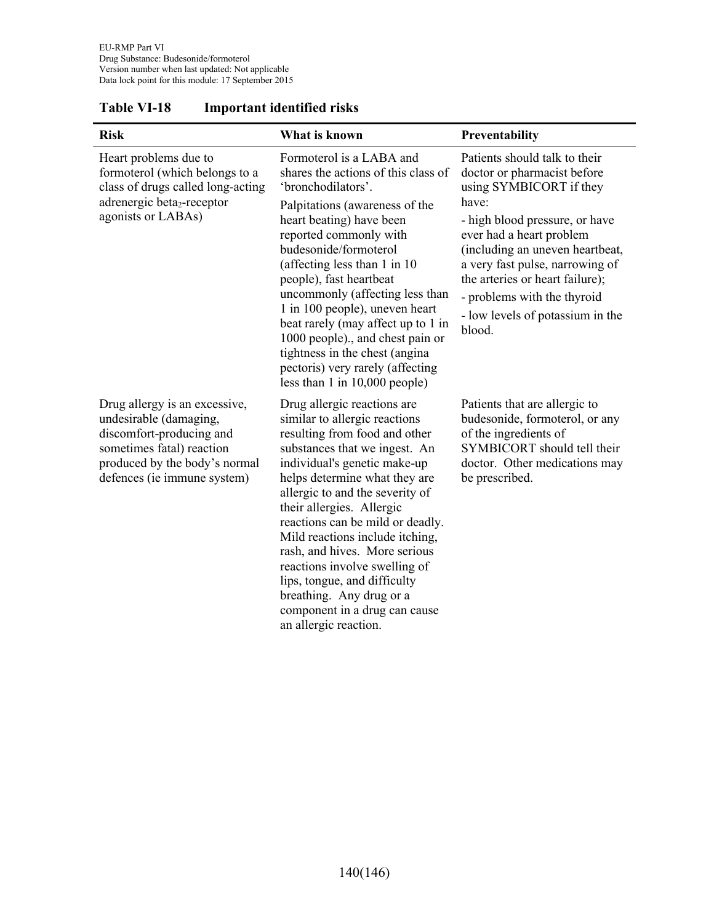| <b>Risk</b>                                                                                                                                                                      | What is known                                                                                                                                                                                                                                                                                                                                                                                                                                                                                                                  | Preventability                                                                                                                                                                                                                                                                                                                                       |
|----------------------------------------------------------------------------------------------------------------------------------------------------------------------------------|--------------------------------------------------------------------------------------------------------------------------------------------------------------------------------------------------------------------------------------------------------------------------------------------------------------------------------------------------------------------------------------------------------------------------------------------------------------------------------------------------------------------------------|------------------------------------------------------------------------------------------------------------------------------------------------------------------------------------------------------------------------------------------------------------------------------------------------------------------------------------------------------|
| Heart problems due to<br>formoterol (which belongs to a<br>class of drugs called long-acting<br>adrenergic beta <sub>2</sub> -receptor<br>agonists or LABAs)                     | Formoterol is a LABA and<br>shares the actions of this class of<br>'bronchodilators'.<br>Palpitations (awareness of the<br>heart beating) have been<br>reported commonly with<br>budesonide/formoterol<br>(affecting less than 1 in 10)<br>people), fast heartbeat<br>uncommonly (affecting less than<br>1 in 100 people), uneven heart<br>beat rarely (may affect up to 1 in<br>1000 people)., and chest pain or<br>tightness in the chest (angina<br>pectoris) very rarely (affecting<br>less than $1$ in $10,000$ people)   | Patients should talk to their<br>doctor or pharmacist before<br>using SYMBICORT if they<br>have:<br>- high blood pressure, or have<br>ever had a heart problem<br>(including an uneven heartbeat,<br>a very fast pulse, narrowing of<br>the arteries or heart failure);<br>- problems with the thyroid<br>- low levels of potassium in the<br>blood. |
| Drug allergy is an excessive,<br>undesirable (damaging,<br>discomfort-producing and<br>sometimes fatal) reaction<br>produced by the body's normal<br>defences (ie immune system) | Drug allergic reactions are<br>similar to allergic reactions<br>resulting from food and other<br>substances that we ingest. An<br>individual's genetic make-up<br>helps determine what they are<br>allergic to and the severity of<br>their allergies. Allergic<br>reactions can be mild or deadly.<br>Mild reactions include itching,<br>rash, and hives. More serious<br>reactions involve swelling of<br>lips, tongue, and difficulty<br>breathing. Any drug or a<br>component in a drug can cause<br>an allergic reaction. | Patients that are allergic to<br>budesonide, formoterol, or any<br>of the ingredients of<br>SYMBICORT should tell their<br>doctor. Other medications may<br>be prescribed.                                                                                                                                                                           |

#### **Table VI-18 Important identified risks**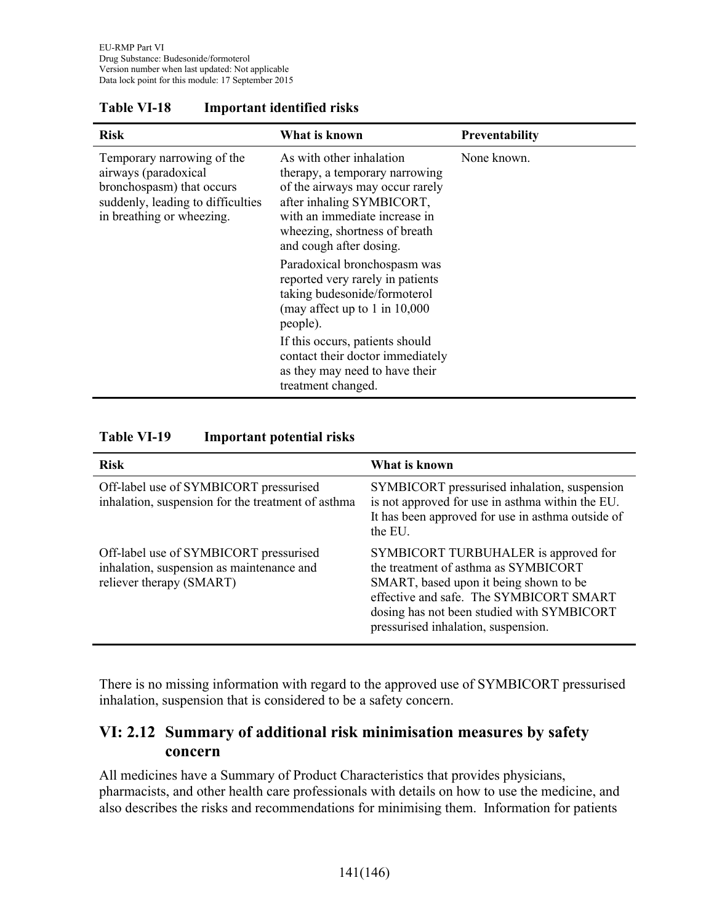| <b>Risk</b>                                                                                                                                       | What is known                                                                                                                                                                                                                                           | <b>Preventability</b> |
|---------------------------------------------------------------------------------------------------------------------------------------------------|---------------------------------------------------------------------------------------------------------------------------------------------------------------------------------------------------------------------------------------------------------|-----------------------|
| Temporary narrowing of the<br>airways (paradoxical<br>bronchospasm) that occurs<br>suddenly, leading to difficulties<br>in breathing or wheezing. | As with other inhalation<br>therapy, a temporary narrowing<br>of the airways may occur rarely<br>after inhaling SYMBICORT,<br>with an immediate increase in<br>wheezing, shortness of breath<br>and cough after dosing.<br>Paradoxical bronchospasm was | None known.           |
|                                                                                                                                                   | reported very rarely in patients<br>taking budesonide/formoterol<br>(may affect up to 1 in $10,000$ )<br>people).                                                                                                                                       |                       |
|                                                                                                                                                   | If this occurs, patients should<br>contact their doctor immediately<br>as they may need to have their<br>treatment changed.                                                                                                                             |                       |

#### **Table VI-18 Important identified risks**

#### **Table VI-19 Important potential risks**

| <b>Risk</b>                                                                                                     | What is known                                                                                                                                                                                                                                          |
|-----------------------------------------------------------------------------------------------------------------|--------------------------------------------------------------------------------------------------------------------------------------------------------------------------------------------------------------------------------------------------------|
| Off-label use of SYMBICORT pressurised<br>inhalation, suspension for the treatment of asthma                    | SYMBICORT pressurised inhalation, suspension<br>is not approved for use in asthma within the EU.<br>It has been approved for use in asthma outside of<br>the EU.                                                                                       |
| Off-label use of SYMBICORT pressurised<br>inhalation, suspension as maintenance and<br>reliever therapy (SMART) | SYMBICORT TURBUHALER is approved for<br>the treatment of asthma as SYMBICORT<br>SMART, based upon it being shown to be<br>effective and safe. The SYMBICORT SMART<br>dosing has not been studied with SYMBICORT<br>pressurised inhalation, suspension. |

There is no missing information with regard to the approved use of SYMBICORT pressurised inhalation, suspension that is considered to be a safety concern.

## **VI: 2.12 Summary of additional risk minimisation measures by safety concern**

All medicines have a Summary of Product Characteristics that provides physicians, pharmacists, and other health care professionals with details on how to use the medicine, and also describes the risks and recommendations for minimising them. Information for patients